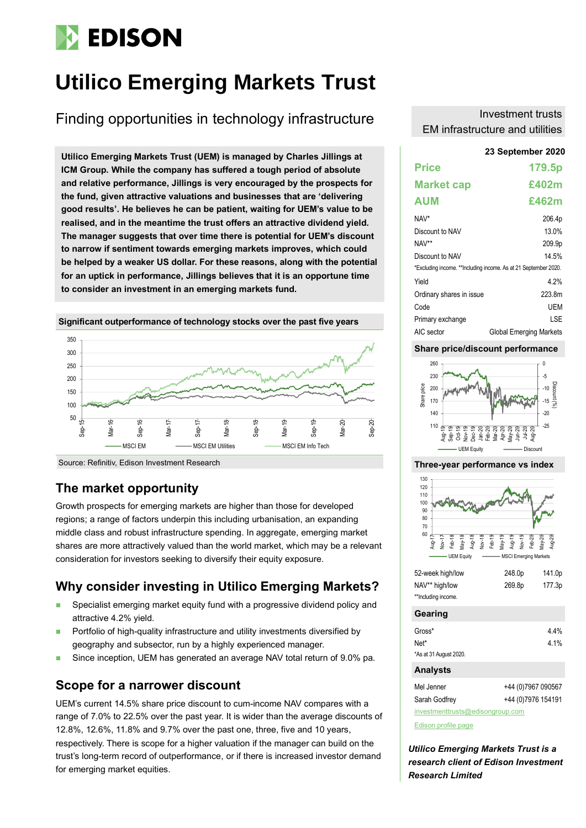# **EDISON**

# **Utilico Emerging Markets Trust**

Finding opportunities in technology infrastructure

**23 September 2020 Utilico Emerging Markets Trust (UEM) is managed by Charles Jillings at ICM Group. While the company has suffered a tough period of absolute and relative performance, Jillings is very encouraged by the prospects for the fund, given attractive valuations and businesses that are 'delivering good results'. He believes he can be patient, waiting for UEM's value to be realised, and in the meantime the trust offers an attractive dividend yield. The manager suggests that over time there is potential for UEM's discount to narrow if sentiment towards emerging markets improves, which could be helped by a weaker US dollar. For these reasons, along with the potential for an uptick in performance, Jillings believes that it is an opportune time to consider an investment in an emerging markets fund.**





Source: Refinitiv, Edison Investment Research

# **The market opportunity**

Growth prospects for emerging markets are higher than those for developed regions; a range of factors underpin this including urbanisation, an expanding middle class and robust infrastructure spending. In aggregate, emerging market shares are more attractively valued than the world market, which may be a relevant consideration for investors seeking to diversify their equity exposure.

# **Why consider investing in Utilico Emerging Markets?**

- ◼ Specialist emerging market equity fund with a progressive dividend policy and attractive 4.2% yield.
- Portfolio of high-quality infrastructure and utility investments diversified by geography and subsector, run by a highly experienced manager.
- Since inception, UEM has generated an average NAV total return of 9.0% pa.

# **Scope for a narrower discount**

UEM's current 14.5% share price discount to cum-income NAV compares with a range of 7.0% to 22.5% over the past year. It is wider than the average discounts of 12.8%, 12.6%, 11.8% and 9.7% over the past one, three, five and 10 years, respectively. There is scope for a higher valuation if the manager can build on the trust's long-term record of outperformance, or if there is increased investor demand for emerging market equities.

#### Investment trusts EM infrastructure and utilities

| <b>Price</b>                                                    | 179.5p                         |  |  |  |  |  |
|-----------------------------------------------------------------|--------------------------------|--|--|--|--|--|
| <b>Market cap</b>                                               | £402m                          |  |  |  |  |  |
| <b>AUM</b>                                                      | £462m                          |  |  |  |  |  |
| NAV*                                                            | 206.4p                         |  |  |  |  |  |
| Discount to NAV                                                 | 13.0%                          |  |  |  |  |  |
| NAV**                                                           | 209.9p                         |  |  |  |  |  |
| Discount to NAV                                                 | 14.5%                          |  |  |  |  |  |
| *Excluding income. **Including income. As at 21 September 2020. |                                |  |  |  |  |  |
| Yield                                                           | 4 2%                           |  |  |  |  |  |
| Ordinary shares in issue                                        | 223 8m                         |  |  |  |  |  |
| Code                                                            | <b>UEM</b>                     |  |  |  |  |  |
| Primary exchange                                                | I SF                           |  |  |  |  |  |
| AIC sector                                                      | <b>Global Emerging Markets</b> |  |  |  |  |  |

#### **Share price/discount performance**



#### **Three-year performance vs index**



| NAV** high/low      | 269.8p | 177.3p |
|---------------------|--------|--------|
| **Including income. |        |        |

#### **Gearing**

| <b>Analysts</b>        |      |
|------------------------|------|
| *As at 31 August 2020. |      |
| Net*                   | 4.1% |
| Gross*                 | 4.4% |
|                        |      |

Mel Jenner +44 (0)7967 090567 Sarah Godfrey +44 (0)7976 154191

[investmenttrusts@edisongroup.com](mailto:investmenttrusts@edisongroup.com)

[Edison profile page](https://www.edisongroup.com/company/utilico-emerging-markets/1748/)

*Utilico Emerging Markets Trust is a research client of Edison Investment Research Limited*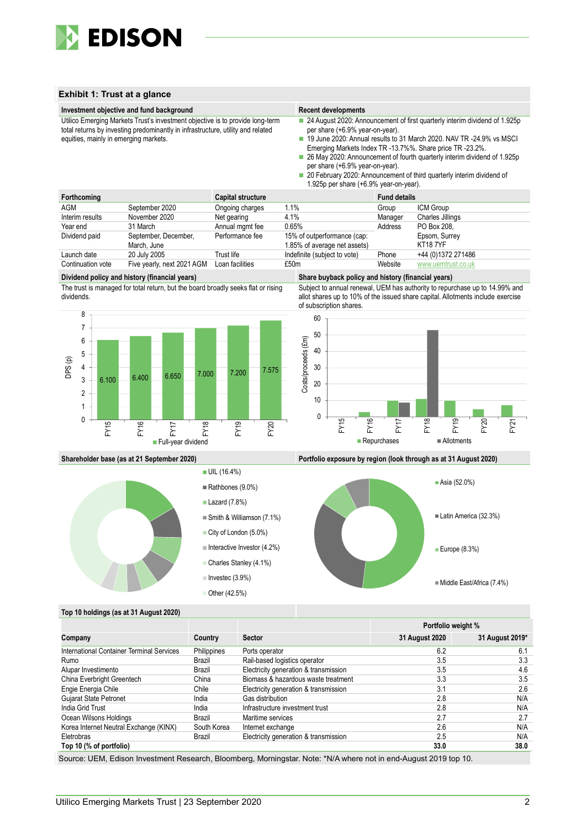

#### **Exhibit 1: Trust at a glance**



|                                           |             |                                       | Portfolio weight % |                 |
|-------------------------------------------|-------------|---------------------------------------|--------------------|-----------------|
| Company                                   | Country     | <b>Sector</b>                         | 31 August 2020     | 31 August 2019* |
| International Container Terminal Services | Philippines | Ports operator                        | 6.2                | 6.1             |
| Rumo                                      | Brazil      | Rail-based logistics operator         | 3.5                | 3.3             |
| Alupar Investimento                       | Brazil      | Electricity generation & transmission | 3.5                | 4.6             |
| China Everbright Greentech                | China       | Biomass & hazardous waste treatment   | 3.3                | 3.5             |
| Engie Energia Chile                       | Chile       | Electricity generation & transmission | 3.1                | 2.6             |
| <b>Gujarat State Petronet</b>             | India       | Gas distribution                      | 2.8                | N/A             |
| India Grid Trust                          | India       | Infrastructure investment trust       | 2.8                | N/A             |
| Ocean Wilsons Holdings                    | Brazil      | Maritime services                     | 2.7                | 2.7             |
| Korea Internet Neutral Exchange (KINX)    | South Korea | Internet exchange                     | 2.6                | N/A             |
| Eletrobras                                | Brazil      | Electricity generation & transmission | 2.5                | N/A             |
| Top 10 (% of portfolio)                   |             |                                       | 33.0               | 38.0            |

Source: UEM, Edison Investment Research, Bloomberg, Morningstar. Note: \*N/A where not in end-August 2019 top 10.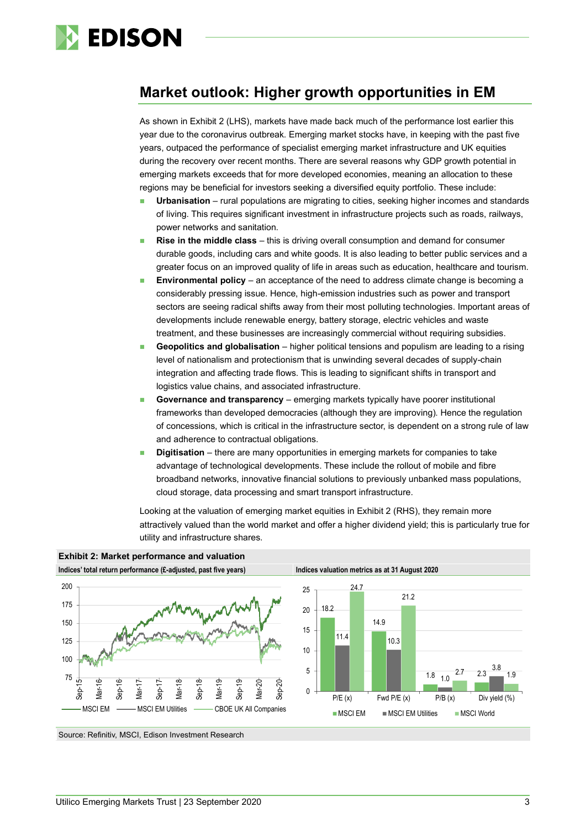

# **Market outlook: Higher growth opportunities in EM**

As shown in Exhibit 2 (LHS), markets have made back much of the performance lost earlier this year due to the coronavirus outbreak. Emerging market stocks have, in keeping with the past five years, outpaced the performance of specialist emerging market infrastructure and UK equities during the recovery over recent months. There are several reasons why GDP growth potential in emerging markets exceeds that for more developed economies, meaning an allocation to these regions may be beneficial for investors seeking a diversified equity portfolio. These include:

- **Urbanisation** rural populations are migrating to cities, seeking higher incomes and standards of living. This requires significant investment in infrastructure projects such as roads, railways, power networks and sanitation.
- **Rise in the middle class** this is driving overall consumption and demand for consumer durable goods, including cars and white goods. It is also leading to better public services and a greater focus on an improved quality of life in areas such as education, healthcare and tourism.
- **Environmental policy** an acceptance of the need to address climate change is becoming a considerably pressing issue. Hence, high-emission industries such as power and transport sectors are seeing radical shifts away from their most polluting technologies. Important areas of developments include renewable energy, battery storage, electric vehicles and waste treatment, and these businesses are increasingly commercial without requiring subsidies.
- **Geopolitics and globalisation** higher political tensions and populism are leading to a rising level of nationalism and protectionism that is unwinding several decades of supply-chain integration and affecting trade flows. This is leading to significant shifts in transport and logistics value chains, and associated infrastructure.
- **Governance and transparency** emerging markets typically have poorer institutional frameworks than developed democracies (although they are improving). Hence the regulation of concessions, which is critical in the infrastructure sector, is dependent on a strong rule of law and adherence to contractual obligations.
- **Digitisation** there are many opportunities in emerging markets for companies to take advantage of technological developments. These include the rollout of mobile and fibre broadband networks, innovative financial solutions to previously unbanked mass populations, cloud storage, data processing and smart transport infrastructure.

Looking at the valuation of emerging market equities in Exhibit 2 (RHS), they remain more attractively valued than the world market and offer a higher dividend yield; this is particularly true for utility and infrastructure shares.



**Exhibit 2: Market performance and valuation**





Source: Refinitiv, MSCI, Edison Investment Research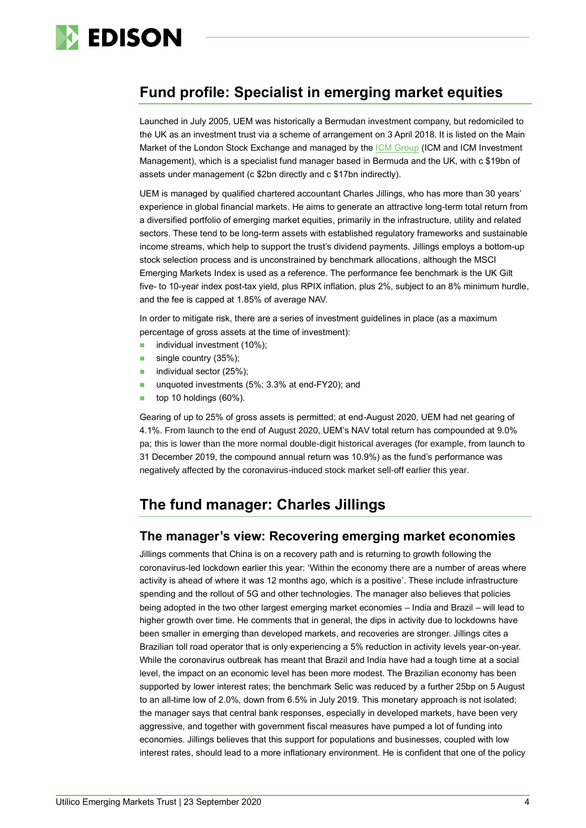

# **Fund profile: Specialist in emerging market equities**

Launched in July 2005, UEM was historically a Bermudan investment company, but redomiciled to the UK as an investment trust via a scheme of arrangement on 3 April 2018. It is listed on the Main Market of the London Stock Exchange and managed by th[e ICM Group](https://www.icm.limited/) (ICM and ICM Investment Management), which is a specialist fund manager based in Bermuda and the UK, with c \$19bn of assets under management (c \$2bn directly and c \$17bn indirectly).

UEM is managed by qualified chartered accountant Charles Jillings, who has more than 30 years' experience in global financial markets. He aims to generate an attractive long-term total return from a diversified portfolio of emerging market equities, primarily in the infrastructure, utility and related sectors. These tend to be long-term assets with established regulatory frameworks and sustainable income streams, which help to support the trust's dividend payments. Jillings employs a bottom-up stock selection process and is unconstrained by benchmark allocations, although the MSCI Emerging Markets Index is used as a reference. The performance fee benchmark is the UK Gilt five- to 10-year index post-tax yield, plus RPIX inflation, plus 2%, subject to an 8% minimum hurdle, and the fee is capped at 1.85% of average NAV.

In order to mitigate risk, there are a series of investment guidelines in place (as a maximum percentage of gross assets at the time of investment):

- individual investment (10%);
- single country (35%);
- individual sector (25%);
- unquoted investments (5%; 3.3% at end-FY20); and
- top 10 holdings (60%).

Gearing of up to 25% of gross assets is permitted; at end-August 2020, UEM had net gearing of 4.1%. From launch to the end of August 2020, UEM's NAV total return has compounded at 9.0% pa; this is lower than the more normal double-digit historical averages (for example, from launch to 31 December 2019, the compound annual return was 10.9%) as the fund's performance was negatively affected by the coronavirus-induced stock market sell-off earlier this year.

# **The fund manager: Charles Jillings**

#### **The manager's view: Recovering emerging market economies**

Jillings comments that China is on a recovery path and is returning to growth following the coronavirus-led lockdown earlier this year: 'Within the economy there are a number of areas where activity is ahead of where it was 12 months ago, which is a positive'. These include infrastructure spending and the rollout of 5G and other technologies. The manager also believes that policies being adopted in the two other largest emerging market economies – India and Brazil – will lead to higher growth over time. He comments that in general, the dips in activity due to lockdowns have been smaller in emerging than developed markets, and recoveries are stronger. Jillings cites a Brazilian toll road operator that is only experiencing a 5% reduction in activity levels year-on-year. While the coronavirus outbreak has meant that Brazil and India have had a tough time at a social level, the impact on an economic level has been more modest. The Brazilian economy has been supported by lower interest rates; the benchmark Selic was reduced by a further 25bp on 5 August to an all-time low of 2.0%, down from 6.5% in July 2019. This monetary approach is not isolated; the manager says that central bank responses, especially in developed markets, have been very aggressive, and together with government fiscal measures have pumped a lot of funding into economies. Jillings believes that this support for populations and businesses, coupled with low interest rates, should lead to a more inflationary environment. He is confident that one of the policy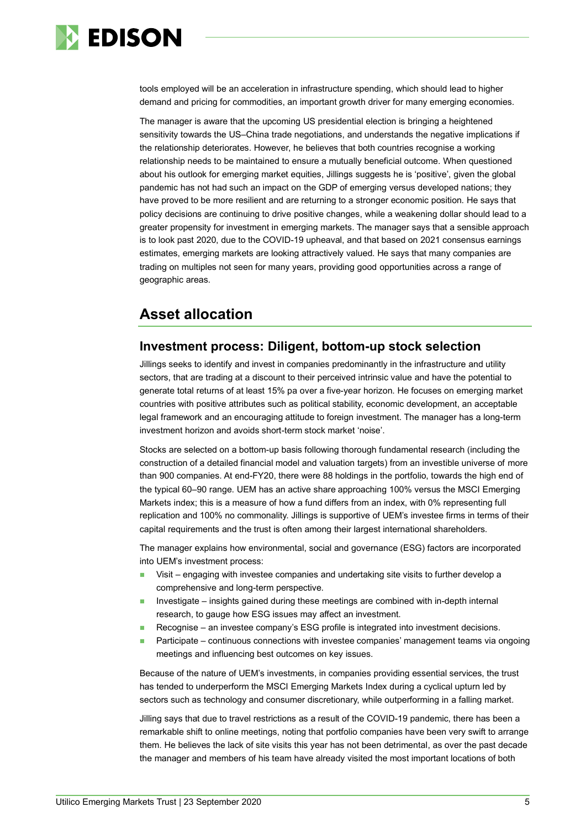

tools employed will be an acceleration in infrastructure spending, which should lead to higher demand and pricing for commodities, an important growth driver for many emerging economies.

The manager is aware that the upcoming US presidential election is bringing a heightened sensitivity towards the US–China trade negotiations, and understands the negative implications if the relationship deteriorates. However, he believes that both countries recognise a working relationship needs to be maintained to ensure a mutually beneficial outcome. When questioned about his outlook for emerging market equities, Jillings suggests he is 'positive', given the global pandemic has not had such an impact on the GDP of emerging versus developed nations; they have proved to be more resilient and are returning to a stronger economic position. He says that policy decisions are continuing to drive positive changes, while a weakening dollar should lead to a greater propensity for investment in emerging markets. The manager says that a sensible approach is to look past 2020, due to the COVID-19 upheaval, and that based on 2021 consensus earnings estimates, emerging markets are looking attractively valued. He says that many companies are trading on multiples not seen for many years, providing good opportunities across a range of geographic areas.

# **Asset allocation**

### **Investment process: Diligent, bottom-up stock selection**

Jillings seeks to identify and invest in companies predominantly in the infrastructure and utility sectors, that are trading at a discount to their perceived intrinsic value and have the potential to generate total returns of at least 15% pa over a five-year horizon. He focuses on emerging market countries with positive attributes such as political stability, economic development, an acceptable legal framework and an encouraging attitude to foreign investment. The manager has a long-term investment horizon and avoids short-term stock market 'noise'.

Stocks are selected on a bottom-up basis following thorough fundamental research (including the construction of a detailed financial model and valuation targets) from an investible universe of more than 900 companies. At end-FY20, there were 88 holdings in the portfolio, towards the high end of the typical 60–90 range. UEM has an active share approaching 100% versus the MSCI Emerging Markets index; this is a measure of how a fund differs from an index, with 0% representing full replication and 100% no commonality. Jillings is supportive of UEM's investee firms in terms of their capital requirements and the trust is often among their largest international shareholders.

The manager explains how environmental, social and governance (ESG) factors are incorporated into UEM's investment process:

- Visit engaging with investee companies and undertaking site visits to further develop a comprehensive and long-term perspective.
- ◼ Investigate insights gained during these meetings are combined with in-depth internal research, to gauge how ESG issues may affect an investment.
- Recognise an investee company's ESG profile is integrated into investment decisions.
- Participate continuous connections with investee companies' management teams via ongoing meetings and influencing best outcomes on key issues.

Because of the nature of UEM's investments, in companies providing essential services, the trust has tended to underperform the MSCI Emerging Markets Index during a cyclical upturn led by sectors such as technology and consumer discretionary, while outperforming in a falling market.

Jilling says that due to travel restrictions as a result of the COVID-19 pandemic, there has been a remarkable shift to online meetings, noting that portfolio companies have been very swift to arrange them. He believes the lack of site visits this year has not been detrimental, as over the past decade the manager and members of his team have already visited the most important locations of both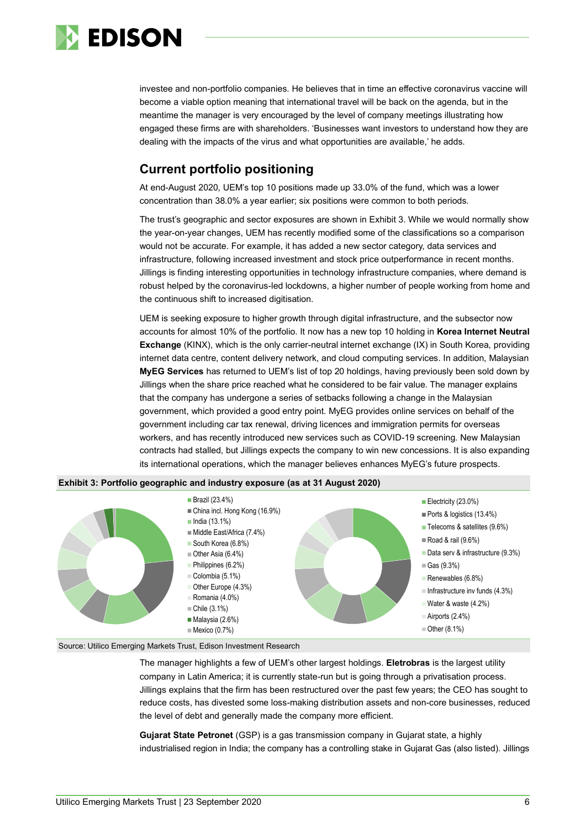

investee and non-portfolio companies. He believes that in time an effective coronavirus vaccine will become a viable option meaning that international travel will be back on the agenda, but in the meantime the manager is very encouraged by the level of company meetings illustrating how engaged these firms are with shareholders. 'Businesses want investors to understand how they are dealing with the impacts of the virus and what opportunities are available,' he adds.

### **Current portfolio positioning**

At end-August 2020, UEM's top 10 positions made up 33.0% of the fund, which was a lower concentration than 38.0% a year earlier; six positions were common to both periods.

The trust's geographic and sector exposures are shown in Exhibit 3. While we would normally show the year-on-year changes, UEM has recently modified some of the classifications so a comparison would not be accurate. For example, it has added a new sector category, data services and infrastructure, following increased investment and stock price outperformance in recent months. Jillings is finding interesting opportunities in technology infrastructure companies, where demand is robust helped by the coronavirus-led lockdowns, a higher number of people working from home and the continuous shift to increased digitisation.

UEM is seeking exposure to higher growth through digital infrastructure, and the subsector now accounts for almost 10% of the portfolio. It now has a new top 10 holding in **Korea Internet Neutral Exchange** (KINX), which is the only carrier-neutral internet exchange (IX) in South Korea, providing internet data centre, content delivery network, and cloud computing services. In addition, Malaysian **MyEG Services** has returned to UEM's list of top 20 holdings, having previously been sold down by Jillings when the share price reached what he considered to be fair value. The manager explains that the company has undergone a series of setbacks following a change in the Malaysian government, which provided a good entry point. MyEG provides online services on behalf of the government including car tax renewal, driving licences and immigration permits for overseas workers, and has recently introduced new services such as COVID-19 screening. New Malaysian contracts had stalled, but Jillings expects the company to win new concessions. It is also expanding its international operations, which the manager believes enhances MyEG's future prospects.





#### Source: Utilico Emerging Markets Trust, Edison Investment Research

The manager highlights a few of UEM's other largest holdings. **Eletrobras** is the largest utility company in Latin America; it is currently state-run but is going through a privatisation process. Jillings explains that the firm has been restructured over the past few years; the CEO has sought to reduce costs, has divested some loss-making distribution assets and non-core businesses, reduced the level of debt and generally made the company more efficient.

**Gujarat State Petronet** (GSP) is a gas transmission company in Gujarat state, a highly industrialised region in India; the company has a controlling stake in Gujarat Gas (also listed). Jillings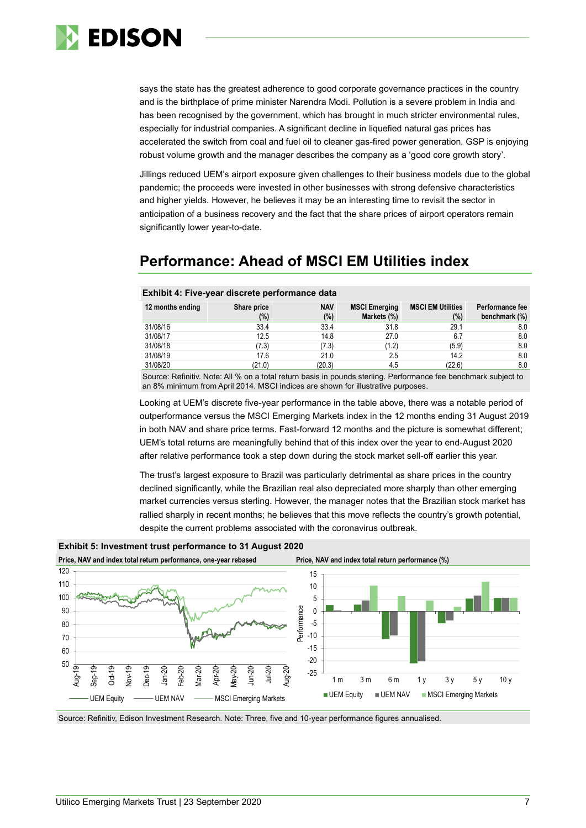

says the state has the greatest adherence to good corporate governance practices in the country and is the birthplace of prime minister Narendra Modi. Pollution is a severe problem in India and has been recognised by the government, which has brought in much stricter environmental rules, especially for industrial companies. A significant decline in liquefied natural gas prices has accelerated the switch from coal and fuel oil to cleaner gas-fired power generation. GSP is enjoying robust volume growth and the manager describes the company as a 'good core growth story'.

Jillings reduced UEM's airport exposure given challenges to their business models due to the global pandemic; the proceeds were invested in other businesses with strong defensive characteristics and higher yields. However, he believes it may be an interesting time to revisit the sector in anticipation of a business recovery and the fact that the share prices of airport operators remain significantly lower year-to-date.

# **Performance: Ahead of MSCI EM Utilities index**

#### **Exhibit 4: Five-year discrete performance data**

| 12 months ending | Share price<br>$(\%)$ | <b>NAV</b><br>(%) | <b>MSCI Emerging</b><br>Markets (%) | <b>MSCI EM Utilities</b><br>(%) | Performance fee<br>benchmark (%) |
|------------------|-----------------------|-------------------|-------------------------------------|---------------------------------|----------------------------------|
| 31/08/16         | 33.4                  | 33.4              | 31.8                                | 29.1                            | 8.0                              |
| 31/08/17         | 12.5                  | 14.8              | 27.0                                | 6.7                             | 8.0                              |
| 31/08/18         | (7.3)                 | (7.3)             | (1.2)                               | (5.9)                           | 8.0                              |
| 31/08/19         | 17.6                  | 21.0              | 2.5                                 | 14.2                            | 8.0                              |
| 31/08/20         | (21.0)                | (20.3)            | 4.5                                 | (22.6)                          | 8.0                              |

Source: Refinitiv. Note: All % on a total return basis in pounds sterling. Performance fee benchmark subject to an 8% minimum from April 2014. MSCI indices are shown for illustrative purposes.

Looking at UEM's discrete five-year performance in the table above, there was a notable period of outperformance versus the MSCI Emerging Markets index in the 12 months ending 31 August 2019 in both NAV and share price terms. Fast-forward 12 months and the picture is somewhat different; UEM's total returns are meaningfully behind that of this index over the year to end-August 2020 after relative performance took a step down during the stock market sell-off earlier this year.

The trust's largest exposure to Brazil was particularly detrimental as share prices in the country declined significantly, while the Brazilian real also depreciated more sharply than other emerging market currencies versus sterling. However, the manager notes that the Brazilian stock market has rallied sharply in recent months; he believes that this move reflects the country's growth potential, despite the current problems associated with the coronavirus outbreak.



**Exhibit 5: Investment trust performance to 31 August 2020**

Source: Refinitiv, Edison Investment Research. Note: Three, five and 10-year performance figures annualised.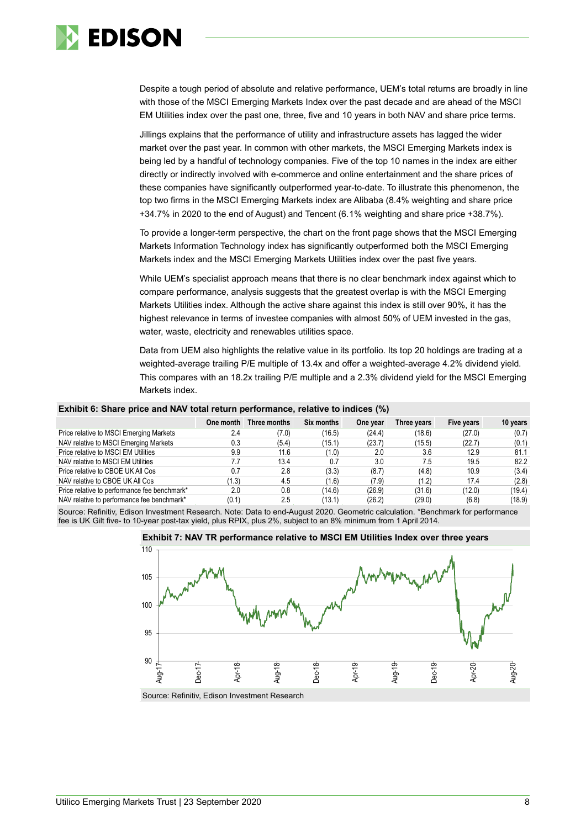

Despite a tough period of absolute and relative performance, UEM's total returns are broadly in line with those of the MSCI Emerging Markets Index over the past decade and are ahead of the MSCI EM Utilities index over the past one, three, five and 10 years in both NAV and share price terms.

Jillings explains that the performance of utility and infrastructure assets has lagged the wider market over the past year. In common with other markets, the MSCI Emerging Markets index is being led by a handful of technology companies. Five of the top 10 names in the index are either directly or indirectly involved with e-commerce and online entertainment and the share prices of these companies have significantly outperformed year-to-date. To illustrate this phenomenon, the top two firms in the MSCI Emerging Markets index are Alibaba (8.4% weighting and share price +34.7% in 2020 to the end of August) and Tencent (6.1% weighting and share price +38.7%).

To provide a longer-term perspective, the chart on the front page shows that the MSCI Emerging Markets Information Technology index has significantly outperformed both the MSCI Emerging Markets index and the MSCI Emerging Markets Utilities index over the past five years.

While UEM's specialist approach means that there is no clear benchmark index against which to compare performance, analysis suggests that the greatest overlap is with the MSCI Emerging Markets Utilities index. Although the active share against this index is still over 90%, it has the highest relevance in terms of investee companies with almost 50% of UEM invested in the gas, water, waste, electricity and renewables utilities space.

Data from UEM also highlights the relative value in its portfolio. Its top 20 holdings are trading at a weighted-average trailing P/E multiple of 13.4x and offer a weighted-average 4.2% dividend yield. This compares with an 18.2x trailing P/E multiple and a 2.3% dividend yield for the MSCI Emerging Markets index.

#### **Exhibit 6: Share price and NAV total return performance, relative to indices (%)**

|                                              | One month | Three months | <b>Six months</b> | One year | Three years | Five years | 10 years |
|----------------------------------------------|-----------|--------------|-------------------|----------|-------------|------------|----------|
| Price relative to MSCI Emerging Markets      | 2.4       | (7.0)        | (16.5)            | (24.4)   | (18.6)      | (27.0)     | (0.7)    |
| NAV relative to MSCI Emerging Markets        | 0.3       | (5.4)        | (15.1)            | (23.7)   | (15.5)      | (22.7)     | (0.1)    |
| Price relative to MSCI EM Utilities          | 9.9       | 11.6         | (1.0)             | 2.0      | 3.6         | 12.9       | 81.1     |
| NAV relative to MSCI EM Utilities            | 7.7       | 13.4         | 0.7               | 3.0      | 7.5         | 19.5       | 82.2     |
| Price relative to CBOE UK All Cos            | 0.7       | 2.8          | (3.3)             | (8.7)    | (4.8)       | 10.9       | (3.4)    |
| NAV relative to CBOE UK All Cos              | (1.3)     | 4.5          | (1.6)             | (7.9)    | (1.2)       | 17.4       | (2.8)    |
| Price relative to performance fee benchmark* | 2.0       | 0.8          | (14.6)            | (26.9)   | (31.6)      | (12.0)     | (19.4)   |
| NAV relative to performance fee benchmark*   | (0.1)     | 2.5          | (13.1)            | (26.2)   | (29.0)      | (6.8)      | (18.9)   |

Source: Refinitiv, Edison Investment Research. Note: Data to end-August 2020. Geometric calculation. \*Benchmark for performance fee is UK Gilt five- to 10-year post-tax yield, plus RPIX, plus 2%, subject to an 8% minimum from 1 April 2014.



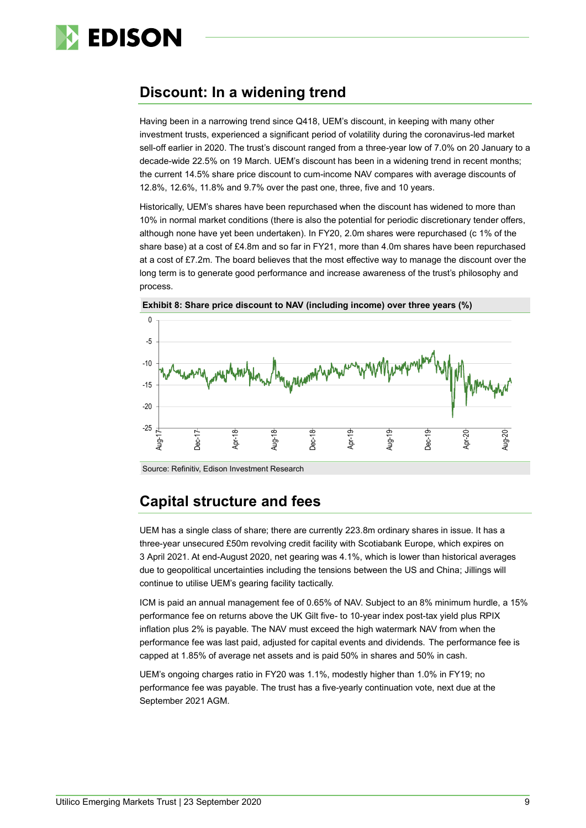

# **Discount: In a widening trend**

Having been in a narrowing trend since Q418, UEM's discount, in keeping with many other investment trusts, experienced a significant period of volatility during the coronavirus-led market sell-off earlier in 2020. The trust's discount ranged from a three-year low of 7.0% on 20 January to a decade-wide 22.5% on 19 March. UEM's discount has been in a widening trend in recent months; the current 14.5% share price discount to cum-income NAV compares with average discounts of 12.8%, 12.6%, 11.8% and 9.7% over the past one, three, five and 10 years.

Historically, UEM's shares have been repurchased when the discount has widened to more than 10% in normal market conditions (there is also the potential for periodic discretionary tender offers, although none have yet been undertaken). In FY20, 2.0m shares were repurchased (c 1% of the share base) at a cost of £4.8m and so far in FY21, more than 4.0m shares have been repurchased at a cost of £7.2m. The board believes that the most effective way to manage the discount over the long term is to generate good performance and increase awareness of the trust's philosophy and process.





Source: Refinitiv, Edison Investment Research

# **Capital structure and fees**

UEM has a single class of share; there are currently 223.8m ordinary shares in issue. It has a three-year unsecured £50m revolving credit facility with Scotiabank Europe, which expires on 3 April 2021. At end-August 2020, net gearing was 4.1%, which is lower than historical averages due to geopolitical uncertainties including the tensions between the US and China; Jillings will continue to utilise UEM's gearing facility tactically.

ICM is paid an annual management fee of 0.65% of NAV. Subject to an 8% minimum hurdle, a 15% performance fee on returns above the UK Gilt five- to 10-year index post-tax yield plus RPIX inflation plus 2% is payable. The NAV must exceed the high watermark NAV from when the performance fee was last paid, adjusted for capital events and dividends. The performance fee is capped at 1.85% of average net assets and is paid 50% in shares and 50% in cash.

UEM's ongoing charges ratio in FY20 was 1.1%, modestly higher than 1.0% in FY19; no performance fee was payable. The trust has a five-yearly continuation vote, next due at the September 2021 AGM.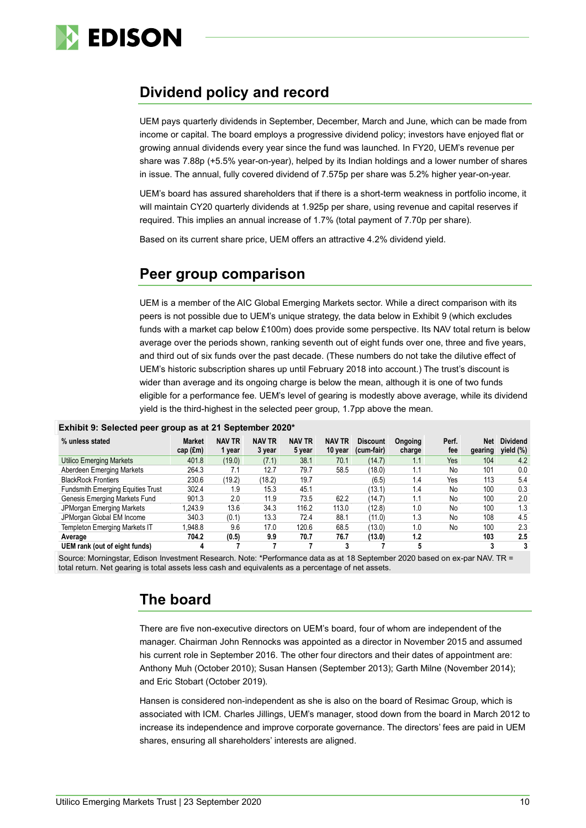

# **Dividend policy and record**

UEM pays quarterly dividends in September, December, March and June, which can be made from income or capital. The board employs a progressive dividend policy; investors have enjoyed flat or growing annual dividends every year since the fund was launched. In FY20, UEM's revenue per share was 7.88p (+5.5% year-on-year), helped by its Indian holdings and a lower number of shares in issue. The annual, fully covered dividend of 7.575p per share was 5.2% higher year-on-year.

UEM's board has assured shareholders that if there is a short-term weakness in portfolio income, it will maintain CY20 quarterly dividends at 1.925p per share, using revenue and capital reserves if required. This implies an annual increase of 1.7% (total payment of 7.70p per share).

Based on its current share price, UEM offers an attractive 4.2% dividend yield.

# **Peer group comparison**

UEM is a member of the AIC Global Emerging Markets sector. While a direct comparison with its peers is not possible due to UEM's unique strategy, the data below in Exhibit 9 (which excludes funds with a market cap below £100m) does provide some perspective. Its NAV total return is below average over the periods shown, ranking seventh out of eight funds over one, three and five years, and third out of six funds over the past decade. (These numbers do not take the dilutive effect of UEM's historic subscription shares up until February 2018 into account.) The trust's discount is wider than average and its ongoing charge is below the mean, although it is one of two funds eligible for a performance fee. UEM's level of gearing is modestly above average, while its dividend yield is the third-highest in the selected peer group, 1.7pp above the mean.

| % unless stated                          | Market<br>$cap$ (£m) | <b>NAV TR</b><br>1 vear | <b>NAV TR</b><br>3 year | <b>NAV TR</b><br>5 year | <b>NAV TR</b><br>10 year | <b>Discount</b><br>(cum-fair) | Ongoing<br>charge | Perf.<br>fee | Net<br>gearing | <b>Dividend</b><br>vield (%) |
|------------------------------------------|----------------------|-------------------------|-------------------------|-------------------------|--------------------------|-------------------------------|-------------------|--------------|----------------|------------------------------|
| <b>Utilico Emerging Markets</b>          | 401.8                | (19.0)                  | (7.1)                   | 38.1                    | 70.1                     | (14.7)                        | 1.1               | Yes          | 104            | 4.2                          |
| Aberdeen Emerging Markets                | 264.3                | 7.1                     | 12.7                    | 79.7                    | 58.5                     | (18.0)                        | ۱.1               | No           | 101            | 0.0                          |
| <b>BlackRock Frontiers</b>               | 230.6                | (19.2)                  | (18.2)                  | 19.7                    |                          | (6.5)                         | 1.4               | Yes          | 113            | 5.4                          |
| <b>Fundsmith Emerging Equities Trust</b> | 302.4                | 1.9                     | 15.3                    | 45.1                    |                          | (13.1)                        | 1.4               | No           | 100            | 0.3                          |
| Genesis Emerging Markets Fund            | 901.3                | 2.0                     | 11.9                    | 73.5                    | 62.2                     | (14.7)                        | 1.1               | No           | 100            | 2.0                          |
| <b>JPMorgan Emerging Markets</b>         | 1.243.9              | 13.6                    | 34.3                    | 116.2                   | 113.0                    | (12.8)                        | 1.0               | No           | 100            | 1.3                          |
| JPMorgan Global EM Income                | 340.3                | (0.1)                   | 13.3                    | 72.4                    | 88.1                     | (11.0)                        | 1.3               | No           | 108            | 4.5                          |
| <b>Templeton Emerging Markets IT</b>     | 1,948.8              | 9.6                     | 17.0                    | 120.6                   | 68.5                     | (13.0)                        | 1.0               | No           | 100            | 2.3                          |
| Average                                  | 704.2                | (0.5)                   | 9.9                     | 70.7                    | 76.7                     | (13.0)                        | 1.2               |              | 103            | 2.5                          |
| UEM rank (out of eight funds)            | 4                    |                         |                         |                         |                          |                               |                   |              |                | 3                            |

#### **Exhibit 9: Selected peer group as at 21 September 2020\***

Source: Morningstar, Edison Investment Research. Note: \*Performance data as at 18 September 2020 based on ex-par NAV. TR = total return. Net gearing is total assets less cash and equivalents as a percentage of net assets.

# **The board**

There are five non-executive directors on UEM's board, four of whom are independent of the manager. Chairman John Rennocks was appointed as a director in November 2015 and assumed his current role in September 2016. The other four directors and their dates of appointment are: Anthony Muh (October 2010); Susan Hansen (September 2013); Garth Milne (November 2014); and Eric Stobart (October 2019).

Hansen is considered non-independent as she is also on the board of Resimac Group, which is associated with ICM. Charles Jillings, UEM's manager, stood down from the board in March 2012 to increase its independence and improve corporate governance. The directors' fees are paid in UEM shares, ensuring all shareholders' interests are aligned.